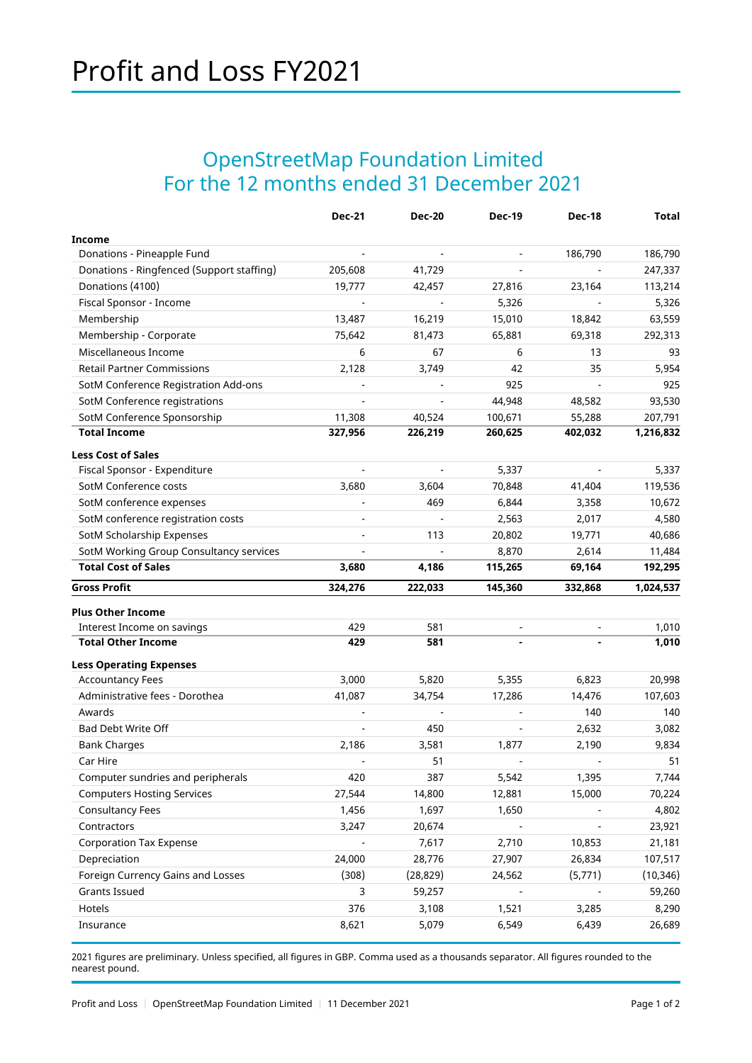## OpenStreetMap Foundation Limited For the 12 months ended 31 December 2021

|                                                        | <b>Dec-21</b> | <b>Dec-20</b>  | <b>Dec-19</b>            | <b>Dec-18</b>            | <b>Total</b>    |
|--------------------------------------------------------|---------------|----------------|--------------------------|--------------------------|-----------------|
| Income                                                 |               |                |                          |                          |                 |
| Donations - Pineapple Fund                             |               |                |                          | 186,790                  | 186,790         |
| Donations - Ringfenced (Support staffing)              | 205,608       | 41,729         |                          |                          | 247,337         |
| Donations (4100)                                       | 19,777        | 42,457         | 27,816                   | 23,164                   | 113,214         |
| Fiscal Sponsor - Income                                |               |                | 5,326                    |                          | 5,326           |
| Membership                                             | 13,487        | 16,219         | 15,010                   | 18,842                   | 63,559          |
| Membership - Corporate                                 | 75,642        | 81,473         | 65,881                   | 69,318                   | 292,313         |
| Miscellaneous Income                                   | 6             | 67             | 6                        | 13                       | 93              |
| <b>Retail Partner Commissions</b>                      | 2,128         | 3,749          | 42                       | 35                       | 5,954           |
| SotM Conference Registration Add-ons                   |               |                | 925                      |                          | 925             |
| SotM Conference registrations                          |               |                | 44,948                   | 48,582                   | 93,530          |
| SotM Conference Sponsorship                            | 11,308        | 40,524         | 100,671                  | 55,288                   | 207,791         |
| <b>Total Income</b>                                    | 327,956       | 226,219        | 260,625                  | 402,032                  | 1,216,832       |
| <b>Less Cost of Sales</b>                              |               |                |                          |                          |                 |
| Fiscal Sponsor - Expenditure                           |               | $\blacksquare$ | 5,337                    | $\overline{\phantom{a}}$ | 5,337           |
| SotM Conference costs                                  | 3,680         | 3,604          | 70,848                   | 41,404                   | 119,536         |
| SotM conference expenses                               |               | 469            | 6,844                    | 3,358                    | 10,672          |
| SotM conference registration costs                     |               |                | 2,563                    | 2,017                    | 4,580           |
| SotM Scholarship Expenses                              |               | 113            | 20,802                   | 19,771                   | 40,686          |
| SotM Working Group Consultancy services                |               |                | 8,870                    | 2,614                    | 11,484          |
| <b>Total Cost of Sales</b>                             | 3,680         | 4,186          | 115,265                  | 69,164                   | 192,295         |
| <b>Gross Profit</b>                                    | 324,276       | 222,033        | 145,360                  | 332,868                  | 1,024,537       |
|                                                        |               |                |                          |                          |                 |
| <b>Plus Other Income</b><br>Interest Income on savings | 429           | 581            |                          |                          | 1,010           |
| <b>Total Other Income</b>                              | 429           | 581            |                          |                          | 1,010           |
|                                                        |               |                |                          |                          |                 |
| <b>Less Operating Expenses</b>                         |               |                |                          |                          |                 |
| <b>Accountancy Fees</b>                                | 3,000         | 5,820          | 5,355                    | 6,823                    | 20,998          |
| Administrative fees - Dorothea                         | 41,087        | 34,754         | 17,286                   | 14,476                   | 107,603         |
| Awards                                                 |               |                |                          | 140                      | 140             |
| <b>Bad Debt Write Off</b>                              |               | 450            | $\overline{\phantom{a}}$ | 2,632                    | 3,082           |
| <b>Bank Charges</b><br>Car Hire                        | 2,186         | 3,581          | 1,877                    | 2,190                    | 9,834           |
|                                                        |               | 51             |                          |                          | 51              |
| Computer sundries and peripherals                      | 420           | 387            | 5,542                    | 1,395                    | 7,744           |
| <b>Computers Hosting Services</b>                      | 27,544        | 14,800         | 12,881                   | 15,000                   | 70,224          |
| <b>Consultancy Fees</b>                                | 1,456         | 1,697          | 1,650                    |                          | 4,802           |
| Contractors                                            |               |                |                          |                          | 23,921          |
|                                                        | 3,247         | 20,674         |                          |                          |                 |
| <b>Corporation Tax Expense</b>                         |               | 7,617          | 2,710                    | 10,853                   | 21,181          |
| Depreciation                                           | 24,000        | 28,776         | 27,907                   | 26,834                   | 107,517         |
| Foreign Currency Gains and Losses                      | (308)         | (28, 829)      | 24,562                   | (5,771)                  | (10, 346)       |
| <b>Grants Issued</b>                                   | 3             | 59,257         |                          |                          | 59,260          |
| Hotels<br>Insurance                                    | 376<br>8,621  | 3,108<br>5,079 | 1,521<br>6,549           | 3,285<br>6,439           | 8,290<br>26,689 |

2021 figures are preliminary. Unless specified, all figures in GBP. Comma used as a thousands separator. All figures rounded to the nearest pound.